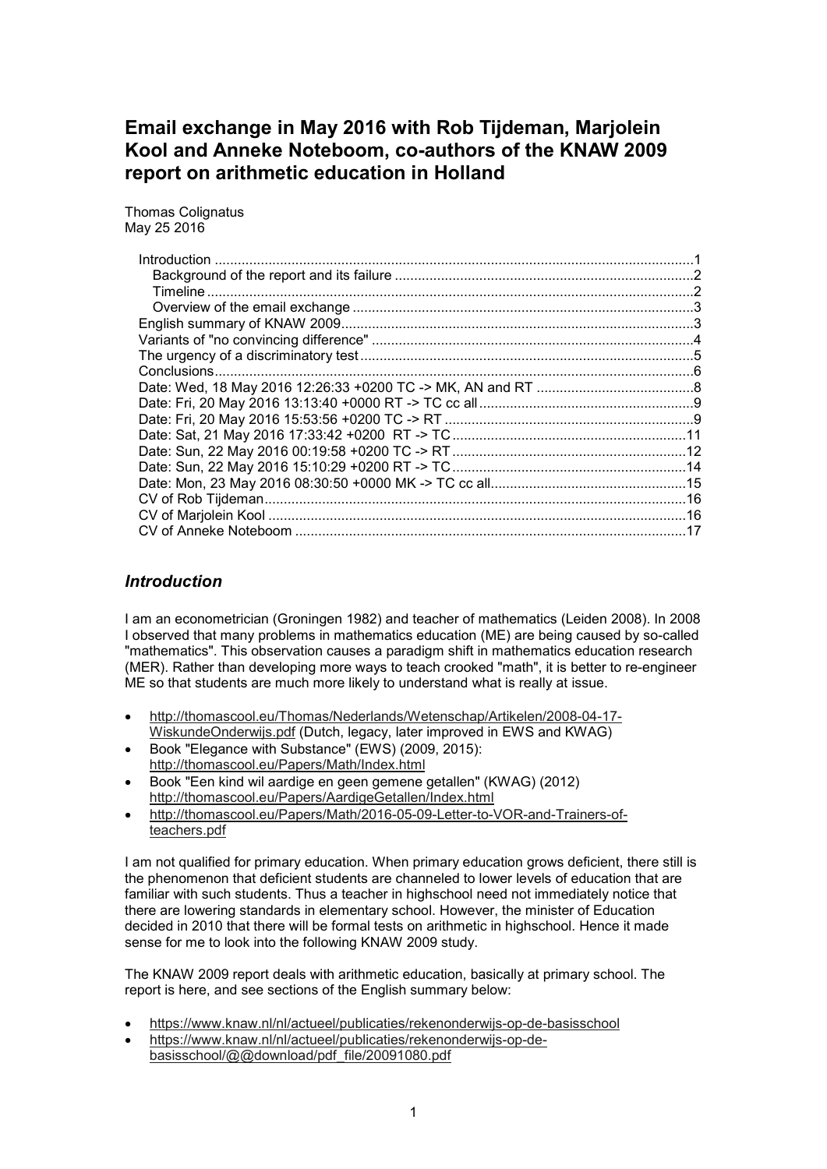# **Email exchange in May 2016 with Rob Tijdeman, Marjolein Kool and Anneke Noteboom, co-authors of the KNAW 2009 report on arithmetic education in Holland**

Thomas Colignatus May 25 2016

| <b>Introduction</b> |  |
|---------------------|--|
|                     |  |
|                     |  |
|                     |  |
|                     |  |
|                     |  |
|                     |  |
|                     |  |
|                     |  |
|                     |  |
|                     |  |
|                     |  |
|                     |  |
|                     |  |
|                     |  |
|                     |  |
|                     |  |

# *Introduction*

I am an econometrician (Groningen 1982) and teacher of mathematics (Leiden 2008). In 2008 I observed that many problems in mathematics education (ME) are being caused by so-called "mathematics". This observation causes a paradigm shift in mathematics education research (MER). Rather than developing more ways to teach crooked "math", it is better to re-engineer ME so that students are much more likely to understand what is really at issue.

- http://thomascool.eu/Thomas/Nederlands/Wetenschap/Artikelen/2008-04-17- WiskundeOnderwijs.pdf (Dutch, legacy, later improved in EWS and KWAG)
- Book "Elegance with Substance" (EWS) (2009, 2015): http://thomascool.eu/Papers/Math/Index.html
- Book "Een kind wil aardige en geen gemene getallen" (KWAG) (2012) http://thomascool.eu/Papers/AardigeGetallen/Index.html
- http://thomascool.eu/Papers/Math/2016-05-09-Letter-to-VOR-and-Trainers-ofteachers.pdf

I am not qualified for primary education. When primary education grows deficient, there still is the phenomenon that deficient students are channeled to lower levels of education that are familiar with such students. Thus a teacher in highschool need not immediately notice that there are lowering standards in elementary school. However, the minister of Education decided in 2010 that there will be formal tests on arithmetic in highschool. Hence it made sense for me to look into the following KNAW 2009 study.

The KNAW 2009 report deals with arithmetic education, basically at primary school. The report is here, and see sections of the English summary below:

- https://www.knaw.nl/nl/actueel/publicaties/rekenonderwijs-op-de-basisschool
- https://www.knaw.nl/nl/actueel/publicaties/rekenonderwijs-op-debasisschool/@@download/pdf\_file/20091080.pdf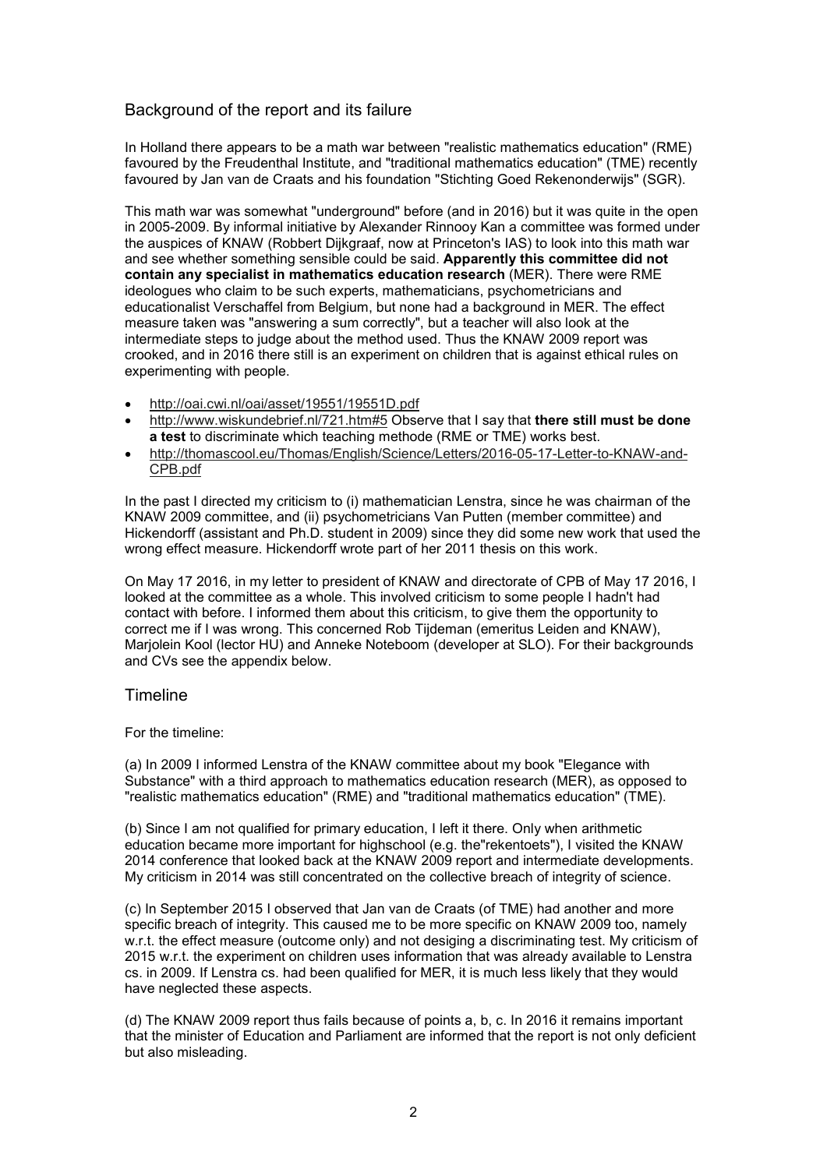## Background of the report and its failure

In Holland there appears to be a math war between "realistic mathematics education" (RME) favoured by the Freudenthal Institute, and "traditional mathematics education" (TME) recently favoured by Jan van de Craats and his foundation "Stichting Goed Rekenonderwijs" (SGR).

This math war was somewhat "underground" before (and in 2016) but it was quite in the open in 2005-2009. By informal initiative by Alexander Rinnooy Kan a committee was formed under the auspices of KNAW (Robbert Dijkgraaf, now at Princeton's IAS) to look into this math war and see whether something sensible could be said. **Apparently this committee did not contain any specialist in mathematics education research** (MER). There were RME ideologues who claim to be such experts, mathematicians, psychometricians and educationalist Verschaffel from Belgium, but none had a background in MER. The effect measure taken was "answering a sum correctly", but a teacher will also look at the intermediate steps to judge about the method used. Thus the KNAW 2009 report was crooked, and in 2016 there still is an experiment on children that is against ethical rules on experimenting with people.

- http://oai.cwi.nl/oai/asset/19551/19551D.pdf
- http://www.wiskundebrief.nl/721.htm#5 Observe that I say that **there still must be done a test** to discriminate which teaching methode (RME or TME) works best.
- http://thomascool.eu/Thomas/English/Science/Letters/2016-05-17-Letter-to-KNAW-and-CPB.pdf

In the past I directed my criticism to (i) mathematician Lenstra, since he was chairman of the KNAW 2009 committee, and (ii) psychometricians Van Putten (member committee) and Hickendorff (assistant and Ph.D. student in 2009) since they did some new work that used the wrong effect measure. Hickendorff wrote part of her 2011 thesis on this work.

On May 17 2016, in my letter to president of KNAW and directorate of CPB of May 17 2016, I looked at the committee as a whole. This involved criticism to some people I hadn't had contact with before. I informed them about this criticism, to give them the opportunity to correct me if I was wrong. This concerned Rob Tijdeman (emeritus Leiden and KNAW), Marjolein Kool (lector HU) and Anneke Noteboom (developer at SLO). For their backgrounds and CVs see the appendix below.

### Timeline

### For the timeline:

(a) In 2009 I informed Lenstra of the KNAW committee about my book "Elegance with Substance" with a third approach to mathematics education research (MER), as opposed to "realistic mathematics education" (RME) and "traditional mathematics education" (TME).

(b) Since I am not qualified for primary education, I left it there. Only when arithmetic education became more important for highschool (e.g. the"rekentoets"), I visited the KNAW 2014 conference that looked back at the KNAW 2009 report and intermediate developments. My criticism in 2014 was still concentrated on the collective breach of integrity of science.

(c) In September 2015 I observed that Jan van de Craats (of TME) had another and more specific breach of integrity. This caused me to be more specific on KNAW 2009 too, namely w.r.t. the effect measure (outcome only) and not desiging a discriminating test. My criticism of 2015 w.r.t. the experiment on children uses information that was already available to Lenstra cs. in 2009. If Lenstra cs. had been qualified for MER, it is much less likely that they would have neglected these aspects.

(d) The KNAW 2009 report thus fails because of points a, b, c. In 2016 it remains important that the minister of Education and Parliament are informed that the report is not only deficient but also misleading.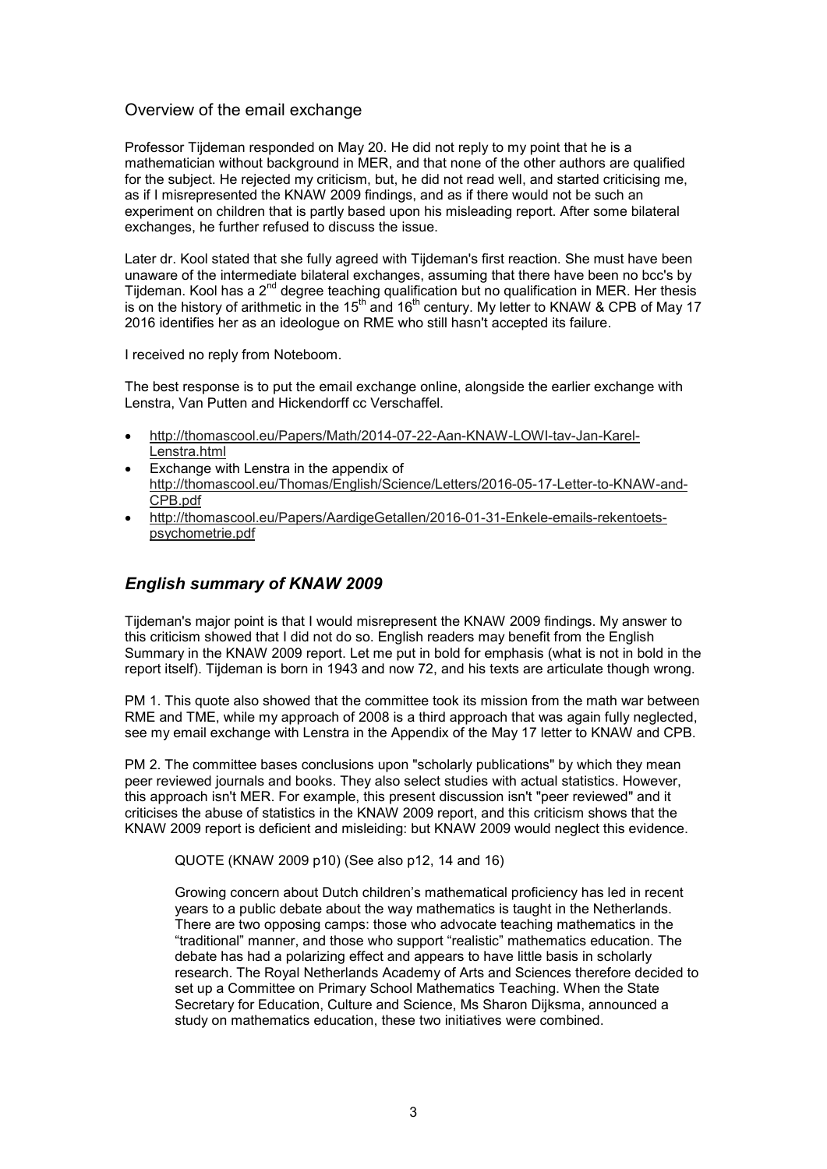### Overview of the email exchange

Professor Tijdeman responded on May 20. He did not reply to my point that he is a mathematician without background in MER, and that none of the other authors are qualified for the subject. He rejected my criticism, but, he did not read well, and started criticising me, as if I misrepresented the KNAW 2009 findings, and as if there would not be such an experiment on children that is partly based upon his misleading report. After some bilateral exchanges, he further refused to discuss the issue.

Later dr. Kool stated that she fully agreed with Tijdeman's first reaction. She must have been unaware of the intermediate bilateral exchanges, assuming that there have been no bcc's by Tijdeman. Kool has a 2<sup>nd</sup> degree teaching qualification but no qualification in MER. Her thesis is on the history of arithmetic in the 15<sup>th</sup> and 16<sup>th</sup> century. My letter to KNAW & CPB of May 17 2016 identifies her as an ideologue on RME who still hasn't accepted its failure.

I received no reply from Noteboom.

The best response is to put the email exchange online, alongside the earlier exchange with Lenstra, Van Putten and Hickendorff cc Verschaffel.

- http://thomascool.eu/Papers/Math/2014-07-22-Aan-KNAW-LOWI-tav-Jan-Karel-Lenstra.html
- Exchange with Lenstra in the appendix of http://thomascool.eu/Thomas/English/Science/Letters/2016-05-17-Letter-to-KNAW-and-CPB.pdf
- http://thomascool.eu/Papers/AardigeGetallen/2016-01-31-Enkele-emails-rekentoetspsychometrie.pdf

# *English summary of KNAW 2009*

Tijdeman's major point is that I would misrepresent the KNAW 2009 findings. My answer to this criticism showed that I did not do so. English readers may benefit from the English Summary in the KNAW 2009 report. Let me put in bold for emphasis (what is not in bold in the report itself). Tijdeman is born in 1943 and now 72, and his texts are articulate though wrong.

PM 1. This quote also showed that the committee took its mission from the math war between RME and TME, while my approach of 2008 is a third approach that was again fully neglected, see my email exchange with Lenstra in the Appendix of the May 17 letter to KNAW and CPB.

PM 2. The committee bases conclusions upon "scholarly publications" by which they mean peer reviewed journals and books. They also select studies with actual statistics. However, this approach isn't MER. For example, this present discussion isn't "peer reviewed" and it criticises the abuse of statistics in the KNAW 2009 report, and this criticism shows that the KNAW 2009 report is deficient and misleiding: but KNAW 2009 would neglect this evidence.

QUOTE (KNAW 2009 p10) (See also p12, 14 and 16)

Growing concern about Dutch children's mathematical proficiency has led in recent years to a public debate about the way mathematics is taught in the Netherlands. There are two opposing camps: those who advocate teaching mathematics in the "traditional" manner, and those who support "realistic" mathematics education. The debate has had a polarizing effect and appears to have little basis in scholarly research. The Royal Netherlands Academy of Arts and Sciences therefore decided to set up a Committee on Primary School Mathematics Teaching. When the State Secretary for Education, Culture and Science, Ms Sharon Dijksma, announced a study on mathematics education, these two initiatives were combined.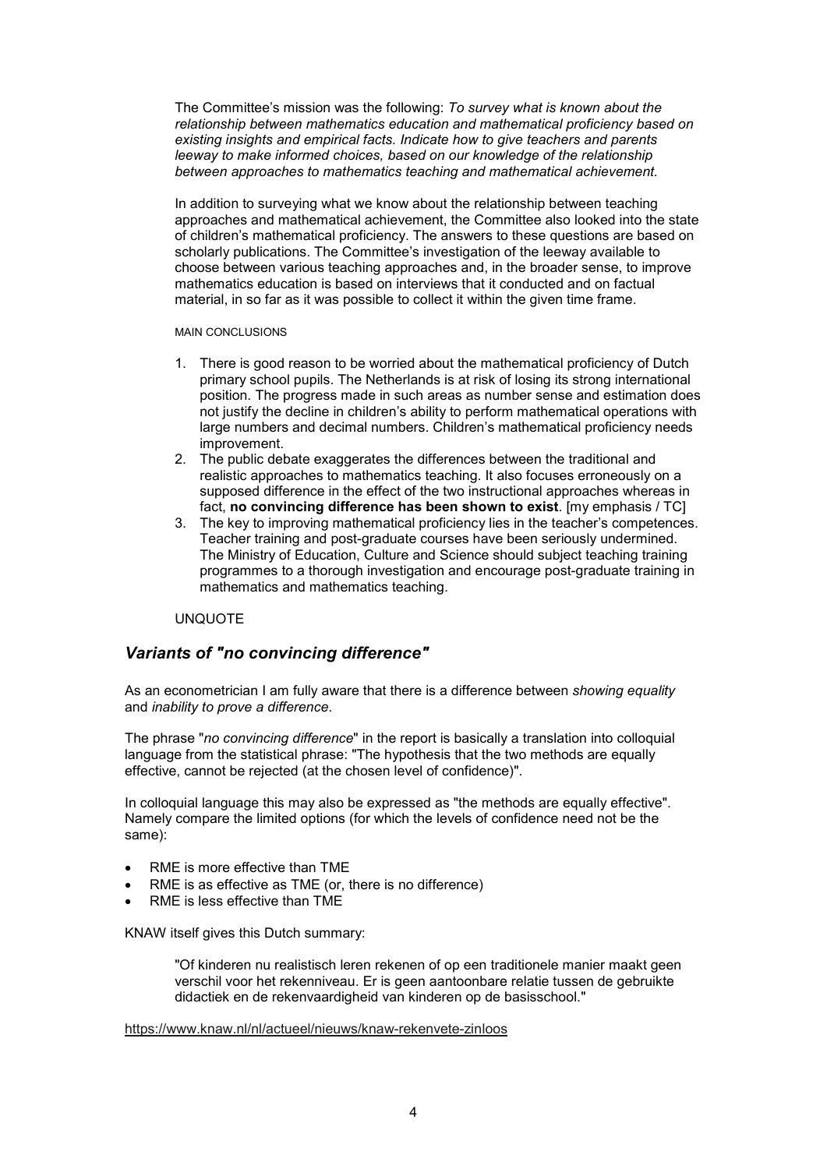The Committee's mission was the following: *To survey what is known about the relationship between mathematics education and mathematical proficiency based on existing insights and empirical facts. Indicate how to give teachers and parents leeway to make informed choices, based on our knowledge of the relationship between approaches to mathematics teaching and mathematical achievement.*

In addition to surveying what we know about the relationship between teaching approaches and mathematical achievement, the Committee also looked into the state of children's mathematical proficiency. The answers to these questions are based on scholarly publications. The Committee's investigation of the leeway available to choose between various teaching approaches and, in the broader sense, to improve mathematics education is based on interviews that it conducted and on factual material, in so far as it was possible to collect it within the given time frame.

MAIN CONCLUSIONS

- 1. There is good reason to be worried about the mathematical proficiency of Dutch primary school pupils. The Netherlands is at risk of losing its strong international position. The progress made in such areas as number sense and estimation does not justify the decline in children's ability to perform mathematical operations with large numbers and decimal numbers. Children's mathematical proficiency needs improvement.
- 2. The public debate exaggerates the differences between the traditional and realistic approaches to mathematics teaching. It also focuses erroneously on a supposed difference in the effect of the two instructional approaches whereas in fact, **no convincing difference has been shown to exist**. [my emphasis / TC]
- 3. The key to improving mathematical proficiency lies in the teacher's competences. Teacher training and post-graduate courses have been seriously undermined. The Ministry of Education, Culture and Science should subject teaching training programmes to a thorough investigation and encourage post-graduate training in mathematics and mathematics teaching.

### UNQUOTE

## *Variants of "no convincing difference"*

As an econometrician I am fully aware that there is a difference between *showing equality* and *inability to prove a difference*.

The phrase "*no convincing difference*" in the report is basically a translation into colloquial language from the statistical phrase: "The hypothesis that the two methods are equally effective, cannot be rejected (at the chosen level of confidence)".

In colloquial language this may also be expressed as "the methods are equally effective". Namely compare the limited options (for which the levels of confidence need not be the same):

- RME is more effective than TME
- RME is as effective as TME (or, there is no difference)
- RME is less effective than TME

KNAW itself gives this Dutch summary:

"Of kinderen nu realistisch leren rekenen of op een traditionele manier maakt geen verschil voor het rekenniveau. Er is geen aantoonbare relatie tussen de gebruikte didactiek en de rekenvaardigheid van kinderen op de basisschool."

https://www.knaw.nl/nl/actueel/nieuws/knaw-rekenvete-zinloos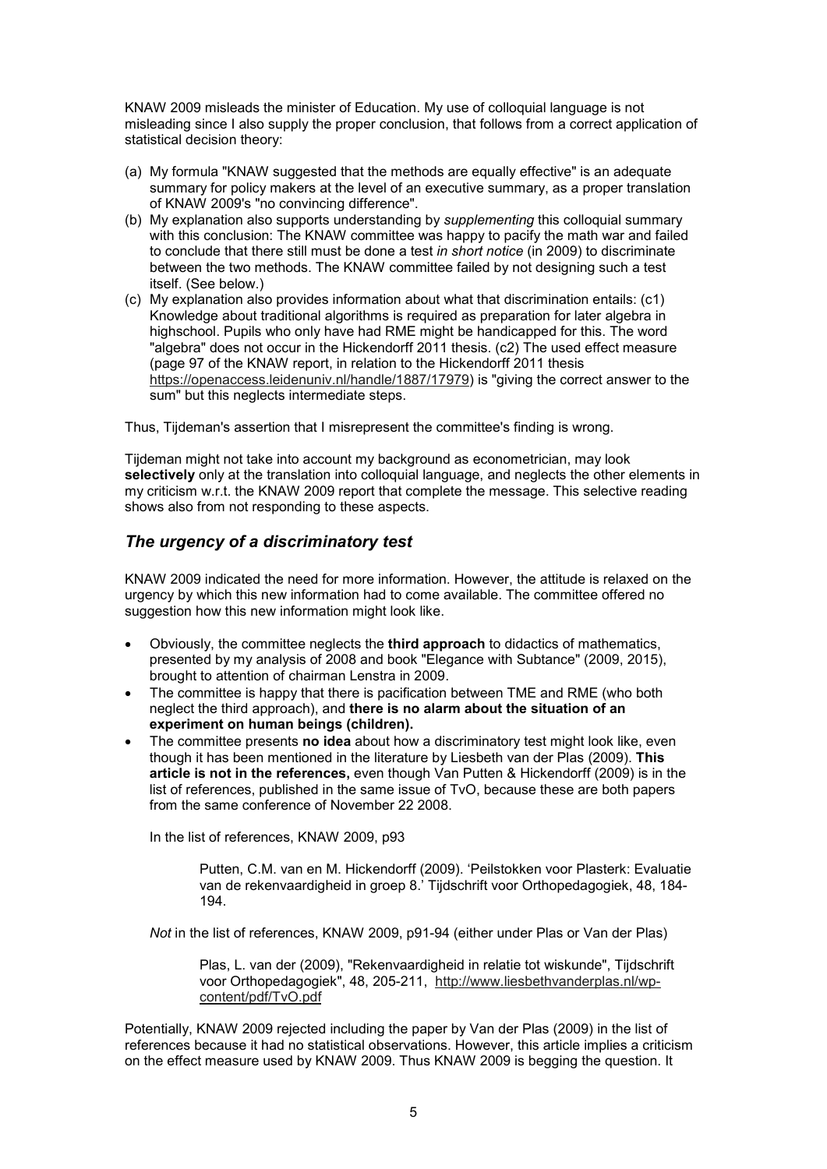KNAW 2009 misleads the minister of Education. My use of colloquial language is not misleading since I also supply the proper conclusion, that follows from a correct application of statistical decision theory:

- (a) My formula "KNAW suggested that the methods are equally effective" is an adequate summary for policy makers at the level of an executive summary, as a proper translation of KNAW 2009's "no convincing difference".
- (b) My explanation also supports understanding by *supplementing* this colloquial summary with this conclusion: The KNAW committee was happy to pacify the math war and failed to conclude that there still must be done a test *in short notice* (in 2009) to discriminate between the two methods. The KNAW committee failed by not designing such a test itself. (See below.)
- (c) My explanation also provides information about what that discrimination entails: (c1) Knowledge about traditional algorithms is required as preparation for later algebra in highschool. Pupils who only have had RME might be handicapped for this. The word "algebra" does not occur in the Hickendorff 2011 thesis. (c2) The used effect measure (page 97 of the KNAW report, in relation to the Hickendorff 2011 thesis https://openaccess.leidenuniv.nl/handle/1887/17979) is "giving the correct answer to the sum" but this neglects intermediate steps.

Thus, Tijdeman's assertion that I misrepresent the committee's finding is wrong.

Tijdeman might not take into account my background as econometrician, may look **selectively** only at the translation into colloquial language, and neglects the other elements in my criticism w.r.t. the KNAW 2009 report that complete the message. This selective reading shows also from not responding to these aspects.

# *The urgency of a discriminatory test*

KNAW 2009 indicated the need for more information. However, the attitude is relaxed on the urgency by which this new information had to come available. The committee offered no suggestion how this new information might look like.

- Obviously, the committee neglects the **third approach** to didactics of mathematics, presented by my analysis of 2008 and book "Elegance with Subtance" (2009, 2015), brought to attention of chairman Lenstra in 2009.
- The committee is happy that there is pacification between TME and RME (who both neglect the third approach), and **there is no alarm about the situation of an experiment on human beings (children).**
- The committee presents **no idea** about how a discriminatory test might look like, even though it has been mentioned in the literature by Liesbeth van der Plas (2009). **This article is not in the references,** even though Van Putten & Hickendorff (2009) is in the list of references, published in the same issue of TvO, because these are both papers from the same conference of November 22 2008.

In the list of references, KNAW 2009, p93

Putten, C.M. van en M. Hickendorff (2009). 'Peilstokken voor Plasterk: Evaluatie van de rekenvaardigheid in groep 8.' Tijdschrift voor Orthopedagogiek, 48, 184- 194.

*Not* in the list of references, KNAW 2009, p91-94 (either under Plas or Van der Plas)

Plas, L. van der (2009), "Rekenvaardigheid in relatie tot wiskunde", Tijdschrift voor Orthopedagogiek", 48, 205-211, http://www.liesbethvanderplas.nl/wpcontent/pdf/TvO.pdf

Potentially, KNAW 2009 rejected including the paper by Van der Plas (2009) in the list of references because it had no statistical observations. However, this article implies a criticism on the effect measure used by KNAW 2009. Thus KNAW 2009 is begging the question. It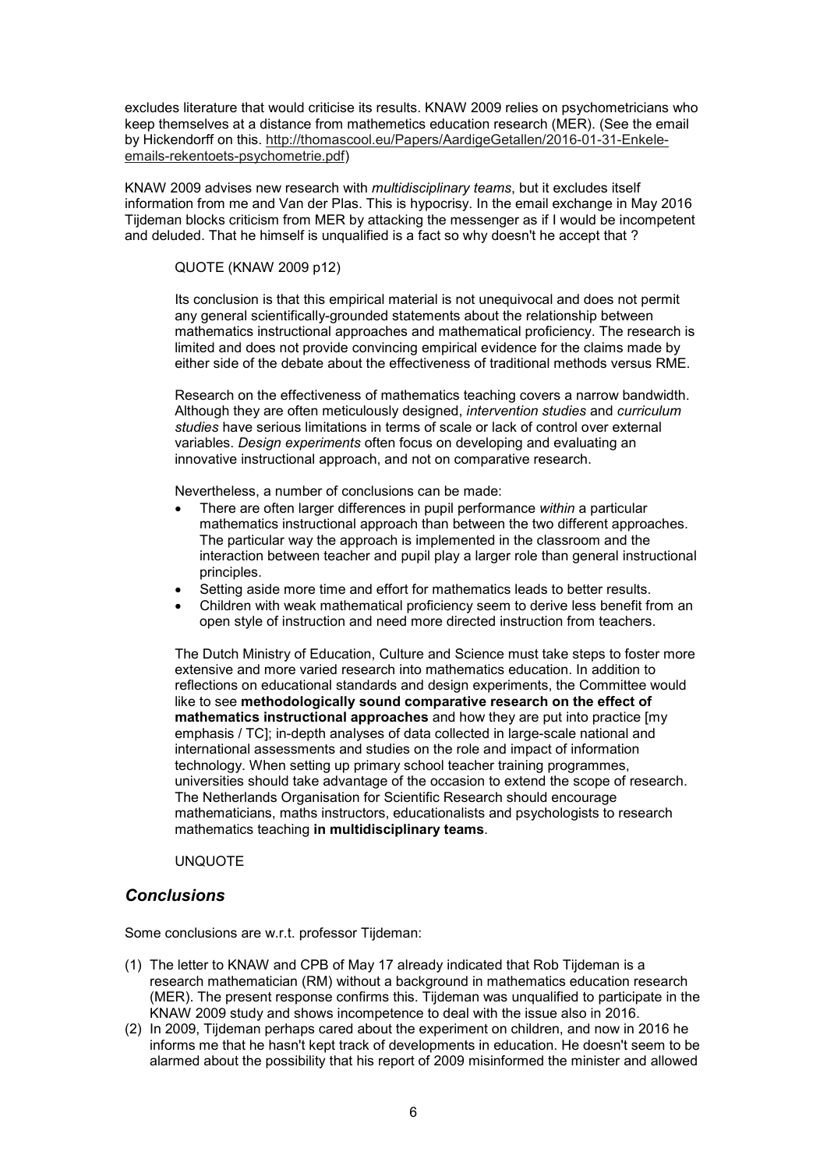excludes literature that would criticise its results. KNAW 2009 relies on psychometricians who keep themselves at a distance from mathemetics education research (MER). (See the email by Hickendorff on this. http://thomascool.eu/Papers/AardigeGetallen/2016-01-31-Enkeleemails-rekentoets-psychometrie.pdf)

KNAW 2009 advises new research with *multidisciplinary teams*, but it excludes itself information from me and Van der Plas. This is hypocrisy. In the email exchange in May 2016 Tijdeman blocks criticism from MER by attacking the messenger as if I would be incompetent and deluded. That he himself is unqualified is a fact so why doesn't he accept that ?

#### QUOTE (KNAW 2009 p12)

Its conclusion is that this empirical material is not unequivocal and does not permit any general scientifically-grounded statements about the relationship between mathematics instructional approaches and mathematical proficiency. The research is limited and does not provide convincing empirical evidence for the claims made by either side of the debate about the effectiveness of traditional methods versus RME.

Research on the effectiveness of mathematics teaching covers a narrow bandwidth. Although they are often meticulously designed, *intervention studies* and *curriculum studies* have serious limitations in terms of scale or lack of control over external variables. *Design experiments* often focus on developing and evaluating an innovative instructional approach, and not on comparative research.

Nevertheless, a number of conclusions can be made:

- There are often larger differences in pupil performance *within* a particular mathematics instructional approach than between the two different approaches. The particular way the approach is implemented in the classroom and the interaction between teacher and pupil play a larger role than general instructional principles.
- Setting aside more time and effort for mathematics leads to better results.
- Children with weak mathematical proficiency seem to derive less benefit from an open style of instruction and need more directed instruction from teachers.

The Dutch Ministry of Education, Culture and Science must take steps to foster more extensive and more varied research into mathematics education. In addition to reflections on educational standards and design experiments, the Committee would like to see **methodologically sound comparative research on the effect of mathematics instructional approaches** and how they are put into practice [my emphasis / TC]; in-depth analyses of data collected in large-scale national and international assessments and studies on the role and impact of information technology. When setting up primary school teacher training programmes, universities should take advantage of the occasion to extend the scope of research. The Netherlands Organisation for Scientific Research should encourage mathematicians, maths instructors, educationalists and psychologists to research mathematics teaching **in multidisciplinary teams**.

#### UNQUOTE

## *Conclusions*

Some conclusions are w.r.t. professor Tijdeman:

- (1) The letter to KNAW and CPB of May 17 already indicated that Rob Tijdeman is a research mathematician (RM) without a background in mathematics education research (MER). The present response confirms this. Tijdeman was unqualified to participate in the KNAW 2009 study and shows incompetence to deal with the issue also in 2016.
- (2) In 2009, Tijdeman perhaps cared about the experiment on children, and now in 2016 he informs me that he hasn't kept track of developments in education. He doesn't seem to be alarmed about the possibility that his report of 2009 misinformed the minister and allowed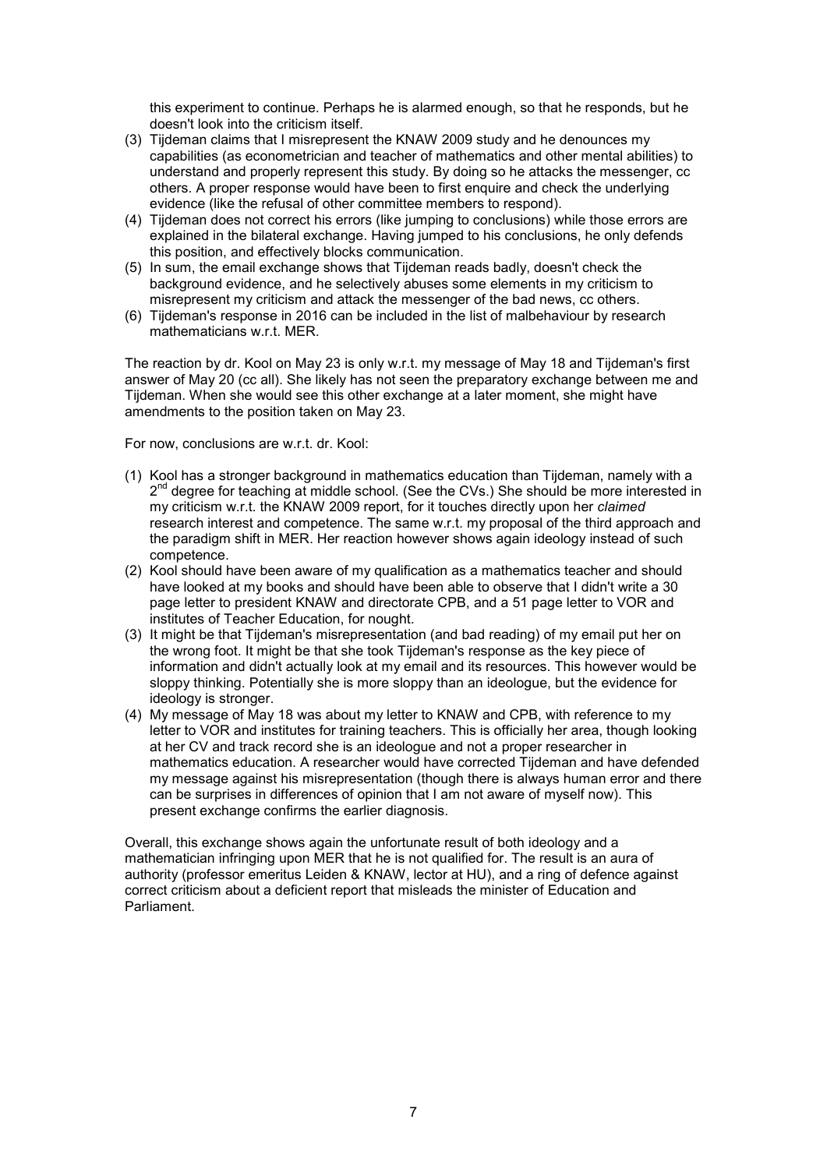this experiment to continue. Perhaps he is alarmed enough, so that he responds, but he doesn't look into the criticism itself.

- (3) Tijdeman claims that I misrepresent the KNAW 2009 study and he denounces my capabilities (as econometrician and teacher of mathematics and other mental abilities) to understand and properly represent this study. By doing so he attacks the messenger, cc others. A proper response would have been to first enquire and check the underlying evidence (like the refusal of other committee members to respond).
- (4) Tijdeman does not correct his errors (like jumping to conclusions) while those errors are explained in the bilateral exchange. Having jumped to his conclusions, he only defends this position, and effectively blocks communication.
- (5) In sum, the email exchange shows that Tijdeman reads badly, doesn't check the background evidence, and he selectively abuses some elements in my criticism to misrepresent my criticism and attack the messenger of the bad news, cc others.
- (6) Tijdeman's response in 2016 can be included in the list of malbehaviour by research mathematicians w.r.t. MER.

The reaction by dr. Kool on May 23 is only w.r.t. my message of May 18 and Tijdeman's first answer of May 20 (cc all). She likely has not seen the preparatory exchange between me and Tijdeman. When she would see this other exchange at a later moment, she might have amendments to the position taken on May 23.

For now, conclusions are w.r.t. dr. Kool:

- (1) Kool has a stronger background in mathematics education than Tijdeman, namely with a 2<sup>nd</sup> degree for teaching at middle school. (See the CVs.) She should be more interested in my criticism w.r.t. the KNAW 2009 report, for it touches directly upon her *claimed* research interest and competence. The same w.r.t. my proposal of the third approach and the paradigm shift in MER. Her reaction however shows again ideology instead of such competence.
- (2) Kool should have been aware of my qualification as a mathematics teacher and should have looked at my books and should have been able to observe that I didn't write a 30 page letter to president KNAW and directorate CPB, and a 51 page letter to VOR and institutes of Teacher Education, for nought.
- (3) It might be that Tijdeman's misrepresentation (and bad reading) of my email put her on the wrong foot. It might be that she took Tijdeman's response as the key piece of information and didn't actually look at my email and its resources. This however would be sloppy thinking. Potentially she is more sloppy than an ideologue, but the evidence for ideology is stronger.
- (4) My message of May 18 was about my letter to KNAW and CPB, with reference to my letter to VOR and institutes for training teachers. This is officially her area, though looking at her CV and track record she is an ideologue and not a proper researcher in mathematics education. A researcher would have corrected Tijdeman and have defended my message against his misrepresentation (though there is always human error and there can be surprises in differences of opinion that I am not aware of myself now). This present exchange confirms the earlier diagnosis.

Overall, this exchange shows again the unfortunate result of both ideology and a mathematician infringing upon MER that he is not qualified for. The result is an aura of authority (professor emeritus Leiden & KNAW, lector at HU), and a ring of defence against correct criticism about a deficient report that misleads the minister of Education and Parliament.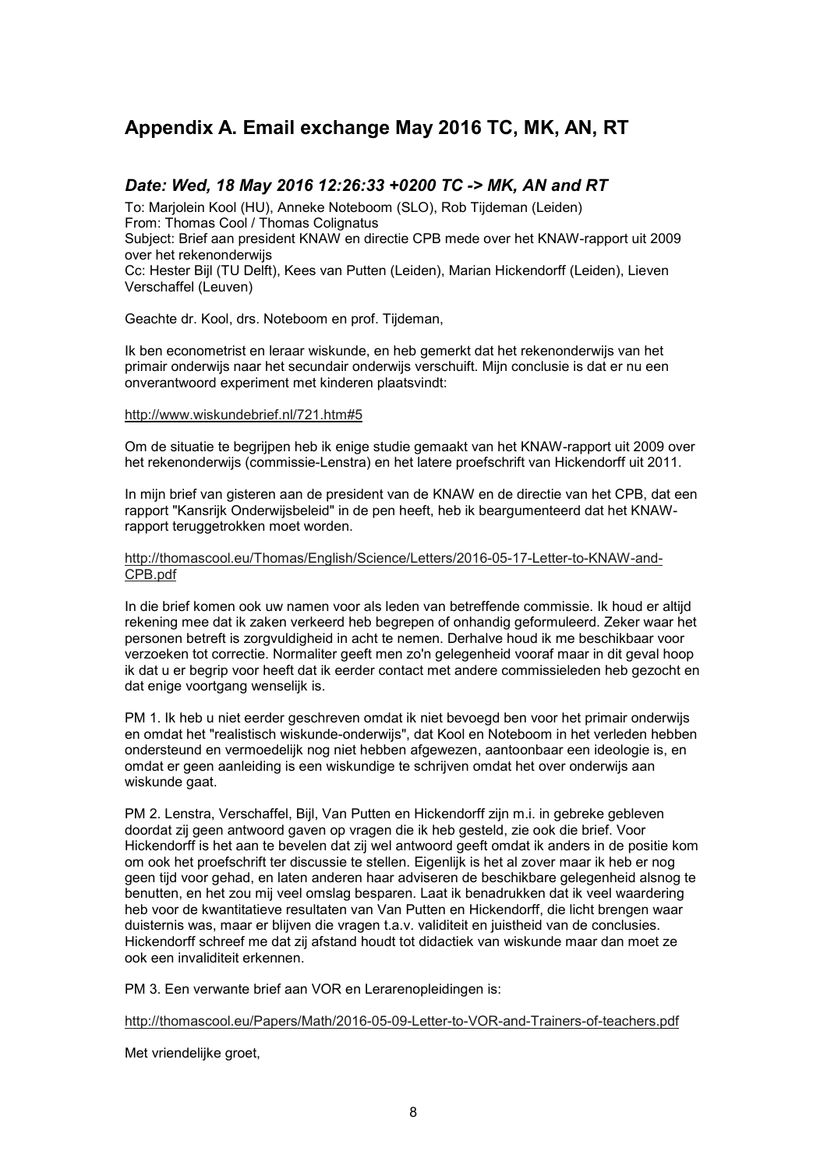# **Appendix A. Email exchange May 2016 TC, MK, AN, RT**

## *Date: Wed, 18 May 2016 12:26:33 +0200 TC -> MK, AN and RT*

To: Marjolein Kool (HU), Anneke Noteboom (SLO), Rob Tijdeman (Leiden) From: Thomas Cool / Thomas Colignatus Subject: Brief aan president KNAW en directie CPB mede over het KNAW-rapport uit 2009 over het rekenonderwijs Cc: Hester Bijl (TU Delft), Kees van Putten (Leiden), Marian Hickendorff (Leiden), Lieven Verschaffel (Leuven)

Geachte dr. Kool, drs. Noteboom en prof. Tijdeman,

Ik ben econometrist en leraar wiskunde, en heb gemerkt dat het rekenonderwijs van het primair onderwijs naar het secundair onderwijs verschuift. Mijn conclusie is dat er nu een onverantwoord experiment met kinderen plaatsvindt:

#### http://www.wiskundebrief.nl/721.htm#5

Om de situatie te begrijpen heb ik enige studie gemaakt van het KNAW-rapport uit 2009 over het rekenonderwijs (commissie-Lenstra) en het latere proefschrift van Hickendorff uit 2011.

In mijn brief van gisteren aan de president van de KNAW en de directie van het CPB, dat een rapport "Kansrijk Onderwijsbeleid" in de pen heeft, heb ik beargumenteerd dat het KNAWrapport teruggetrokken moet worden.

#### http://thomascool.eu/Thomas/English/Science/Letters/2016-05-17-Letter-to-KNAW-and-CPB.pdf

In die brief komen ook uw namen voor als leden van betreffende commissie. Ik houd er altijd rekening mee dat ik zaken verkeerd heb begrepen of onhandig geformuleerd. Zeker waar het personen betreft is zorgvuldigheid in acht te nemen. Derhalve houd ik me beschikbaar voor verzoeken tot correctie. Normaliter geeft men zo'n gelegenheid vooraf maar in dit geval hoop ik dat u er begrip voor heeft dat ik eerder contact met andere commissieleden heb gezocht en dat enige voortgang wenselijk is.

PM 1. Ik heb u niet eerder geschreven omdat ik niet bevoegd ben voor het primair onderwijs en omdat het "realistisch wiskunde-onderwijs", dat Kool en Noteboom in het verleden hebben ondersteund en vermoedelijk nog niet hebben afgewezen, aantoonbaar een ideologie is, en omdat er geen aanleiding is een wiskundige te schrijven omdat het over onderwijs aan wiskunde gaat.

PM 2. Lenstra, Verschaffel, Bijl, Van Putten en Hickendorff zijn m.i. in gebreke gebleven doordat zij geen antwoord gaven op vragen die ik heb gesteld, zie ook die brief. Voor Hickendorff is het aan te bevelen dat zij wel antwoord geeft omdat ik anders in de positie kom om ook het proefschrift ter discussie te stellen. Eigenlijk is het al zover maar ik heb er nog geen tijd voor gehad, en laten anderen haar adviseren de beschikbare gelegenheid alsnog te benutten, en het zou mij veel omslag besparen. Laat ik benadrukken dat ik veel waardering heb voor de kwantitatieve resultaten van Van Putten en Hickendorff, die licht brengen waar duisternis was, maar er blijven die vragen t.a.v. validiteit en juistheid van de conclusies. Hickendorff schreef me dat zij afstand houdt tot didactiek van wiskunde maar dan moet ze ook een invaliditeit erkennen.

PM 3. Een verwante brief aan VOR en Lerarenopleidingen is:

http://thomascool.eu/Papers/Math/2016-05-09-Letter-to-VOR-and-Trainers-of-teachers.pdf

Met vriendelijke groet,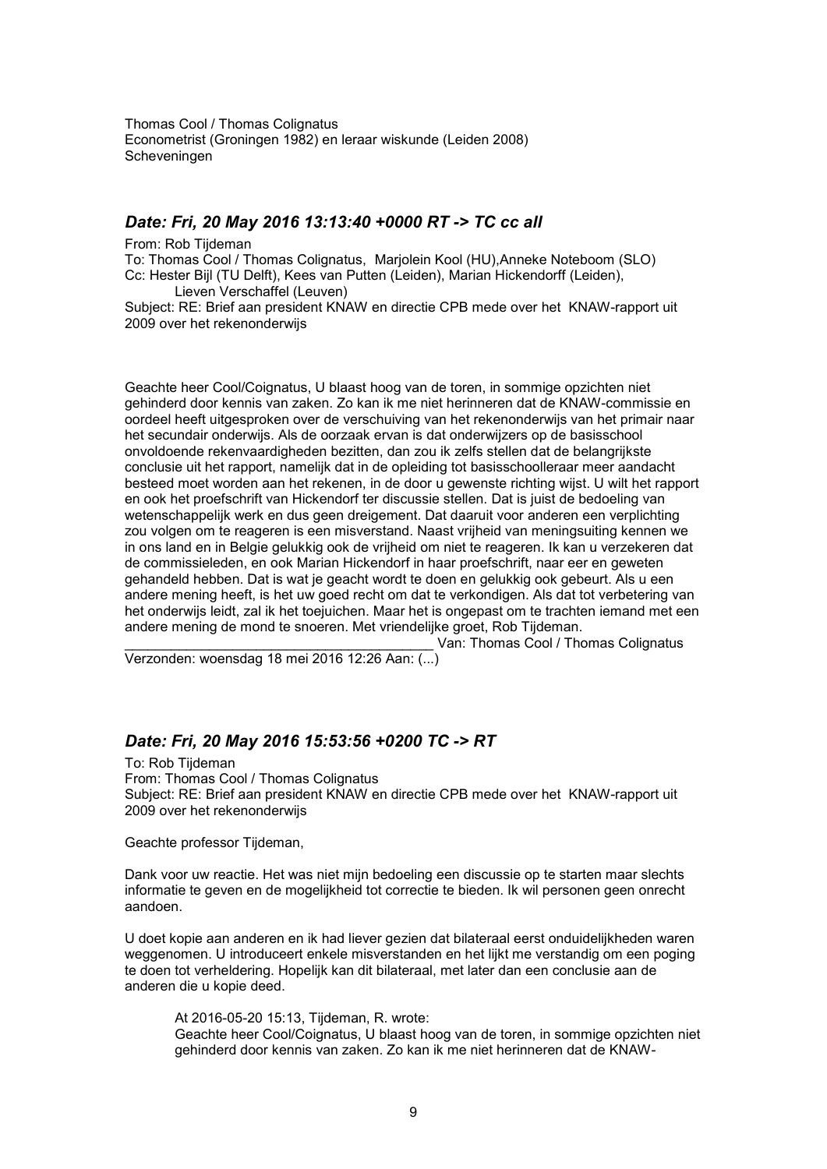Thomas Cool / Thomas Colignatus Econometrist (Groningen 1982) en leraar wiskunde (Leiden 2008) Scheveningen

### *Date: Fri, 20 May 2016 13:13:40 +0000 RT -> TC cc all*

From: Rob Tijdeman

To: Thomas Cool / Thomas Colignatus, Marjolein Kool (HU),Anneke Noteboom (SLO) Cc: Hester Bijl (TU Delft), Kees van Putten (Leiden), Marian Hickendorff (Leiden), Lieven Verschaffel (Leuven)

Subject: RE: Brief aan president KNAW en directie CPB mede over het KNAW-rapport uit 2009 over het rekenonderwijs

Geachte heer Cool/Coignatus, U blaast hoog van de toren, in sommige opzichten niet gehinderd door kennis van zaken. Zo kan ik me niet herinneren dat de KNAW-commissie en oordeel heeft uitgesproken over de verschuiving van het rekenonderwijs van het primair naar het secundair onderwijs. Als de oorzaak ervan is dat onderwijzers op de basisschool onvoldoende rekenvaardigheden bezitten, dan zou ik zelfs stellen dat de belangrijkste conclusie uit het rapport, namelijk dat in de opleiding tot basisschoolleraar meer aandacht besteed moet worden aan het rekenen, in de door u gewenste richting wijst. U wilt het rapport en ook het proefschrift van Hickendorf ter discussie stellen. Dat is juist de bedoeling van wetenschappelijk werk en dus geen dreigement. Dat daaruit voor anderen een verplichting zou volgen om te reageren is een misverstand. Naast vrijheid van meningsuiting kennen we in ons land en in Belgie gelukkig ook de vrijheid om niet te reageren. Ik kan u verzekeren dat de commissieleden, en ook Marian Hickendorf in haar proefschrift, naar eer en geweten gehandeld hebben. Dat is wat je geacht wordt te doen en gelukkig ook gebeurt. Als u een andere mening heeft, is het uw goed recht om dat te verkondigen. Als dat tot verbetering van het onderwijs leidt, zal ik het toejuichen. Maar het is ongepast om te trachten iemand met een andere mening de mond te snoeren. Met vriendelijke groet, Rob Tijdeman.

Van: Thomas Cool / Thomas Colignatus

Verzonden: woensdag 18 mei 2016 12:26 Aan: (...)

### *Date: Fri, 20 May 2016 15:53:56 +0200 TC -> RT*

To: Rob Tijdeman From: Thomas Cool / Thomas Colignatus Subject: RE: Brief aan president KNAW en directie CPB mede over het KNAW-rapport uit 2009 over het rekenonderwijs

Geachte professor Tijdeman,

Dank voor uw reactie. Het was niet mijn bedoeling een discussie op te starten maar slechts informatie te geven en de mogelijkheid tot correctie te bieden. Ik wil personen geen onrecht aandoen.

U doet kopie aan anderen en ik had liever gezien dat bilateraal eerst onduidelijkheden waren weggenomen. U introduceert enkele misverstanden en het lijkt me verstandig om een poging te doen tot verheldering. Hopelijk kan dit bilateraal, met later dan een conclusie aan de anderen die u kopie deed.

At 2016-05-20 15:13, Tijdeman, R. wrote: Geachte heer Cool/Coignatus, U blaast hoog van de toren, in sommige opzichten niet gehinderd door kennis van zaken. Zo kan ik me niet herinneren dat de KNAW-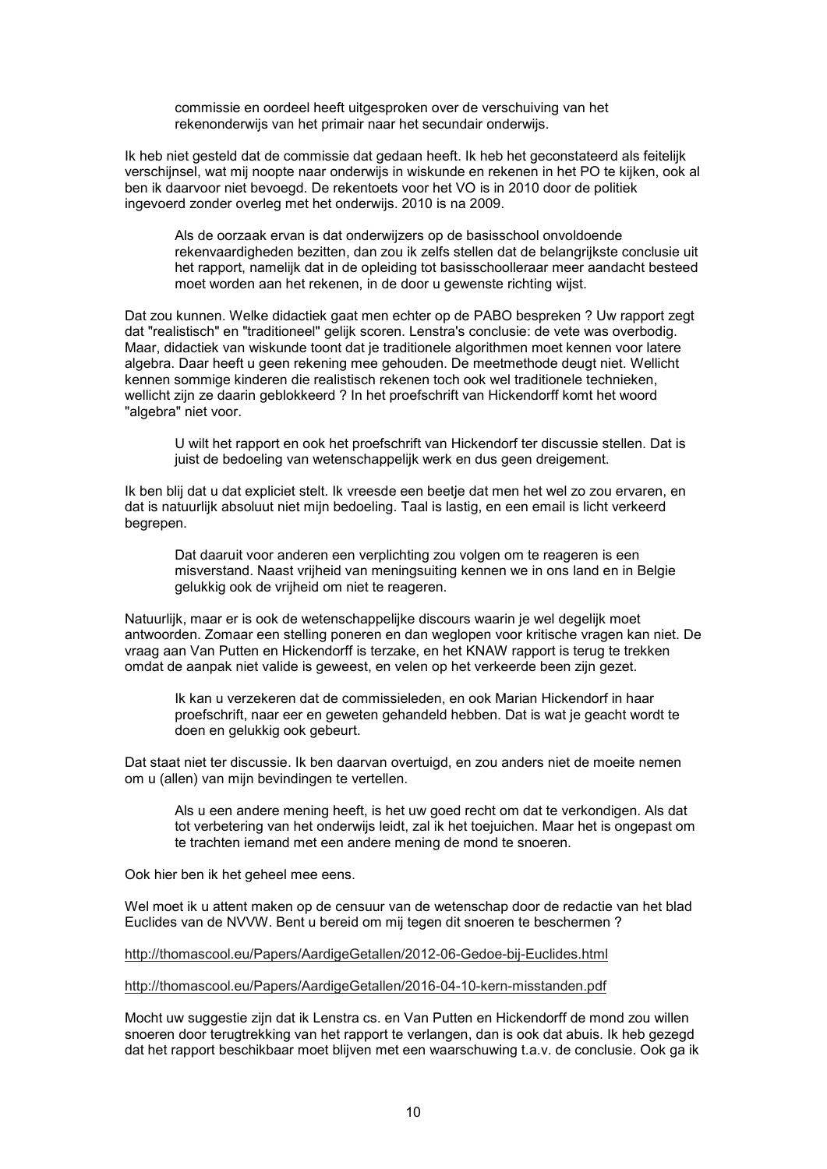commissie en oordeel heeft uitgesproken over de verschuiving van het rekenonderwijs van het primair naar het secundair onderwijs.

Ik heb niet gesteld dat de commissie dat gedaan heeft. Ik heb het geconstateerd als feitelijk verschijnsel, wat mij noopte naar onderwijs in wiskunde en rekenen in het PO te kijken, ook al ben ik daarvoor niet bevoegd. De rekentoets voor het VO is in 2010 door de politiek ingevoerd zonder overleg met het onderwijs. 2010 is na 2009.

Als de oorzaak ervan is dat onderwijzers op de basisschool onvoldoende rekenvaardigheden bezitten, dan zou ik zelfs stellen dat de belangrijkste conclusie uit het rapport, namelijk dat in de opleiding tot basisschoolleraar meer aandacht besteed moet worden aan het rekenen, in de door u gewenste richting wijst.

Dat zou kunnen. Welke didactiek gaat men echter op de PABO bespreken ? Uw rapport zegt dat "realistisch" en "traditioneel" gelijk scoren. Lenstra's conclusie: de vete was overbodig. Maar, didactiek van wiskunde toont dat je traditionele algorithmen moet kennen voor latere algebra. Daar heeft u geen rekening mee gehouden. De meetmethode deugt niet. Wellicht kennen sommige kinderen die realistisch rekenen toch ook wel traditionele technieken, wellicht zijn ze daarin geblokkeerd ? In het proefschrift van Hickendorff komt het woord "algebra" niet voor.

U wilt het rapport en ook het proefschrift van Hickendorf ter discussie stellen. Dat is juist de bedoeling van wetenschappelijk werk en dus geen dreigement.

Ik ben blij dat u dat expliciet stelt. Ik vreesde een beetje dat men het wel zo zou ervaren, en dat is natuurlijk absoluut niet mijn bedoeling. Taal is lastig, en een email is licht verkeerd begrepen.

Dat daaruit voor anderen een verplichting zou volgen om te reageren is een misverstand. Naast vrijheid van meningsuiting kennen we in ons land en in Belgie gelukkig ook de vrijheid om niet te reageren.

Natuurlijk, maar er is ook de wetenschappelijke discours waarin je wel degelijk moet antwoorden. Zomaar een stelling poneren en dan weglopen voor kritische vragen kan niet. De vraag aan Van Putten en Hickendorff is terzake, en het KNAW rapport is terug te trekken omdat de aanpak niet valide is geweest, en velen op het verkeerde been zijn gezet.

Ik kan u verzekeren dat de commissieleden, en ook Marian Hickendorf in haar proefschrift, naar eer en geweten gehandeld hebben. Dat is wat je geacht wordt te doen en gelukkig ook gebeurt.

Dat staat niet ter discussie. Ik ben daarvan overtuigd, en zou anders niet de moeite nemen om u (allen) van mijn bevindingen te vertellen.

Als u een andere mening heeft, is het uw goed recht om dat te verkondigen. Als dat tot verbetering van het onderwijs leidt, zal ik het toejuichen. Maar het is ongepast om te trachten iemand met een andere mening de mond te snoeren.

Ook hier ben ik het geheel mee eens.

Wel moet ik u attent maken op de censuur van de wetenschap door de redactie van het blad Euclides van de NVVW. Bent u bereid om mij tegen dit snoeren te beschermen ?

http://thomascool.eu/Papers/AardigeGetallen/2012-06-Gedoe-bij-Euclides.html

http://thomascool.eu/Papers/AardigeGetallen/2016-04-10-kern-misstanden.pdf

Mocht uw suggestie zijn dat ik Lenstra cs. en Van Putten en Hickendorff de mond zou willen snoeren door terugtrekking van het rapport te verlangen, dan is ook dat abuis. Ik heb gezegd dat het rapport beschikbaar moet blijven met een waarschuwing t.a.v. de conclusie. Ook ga ik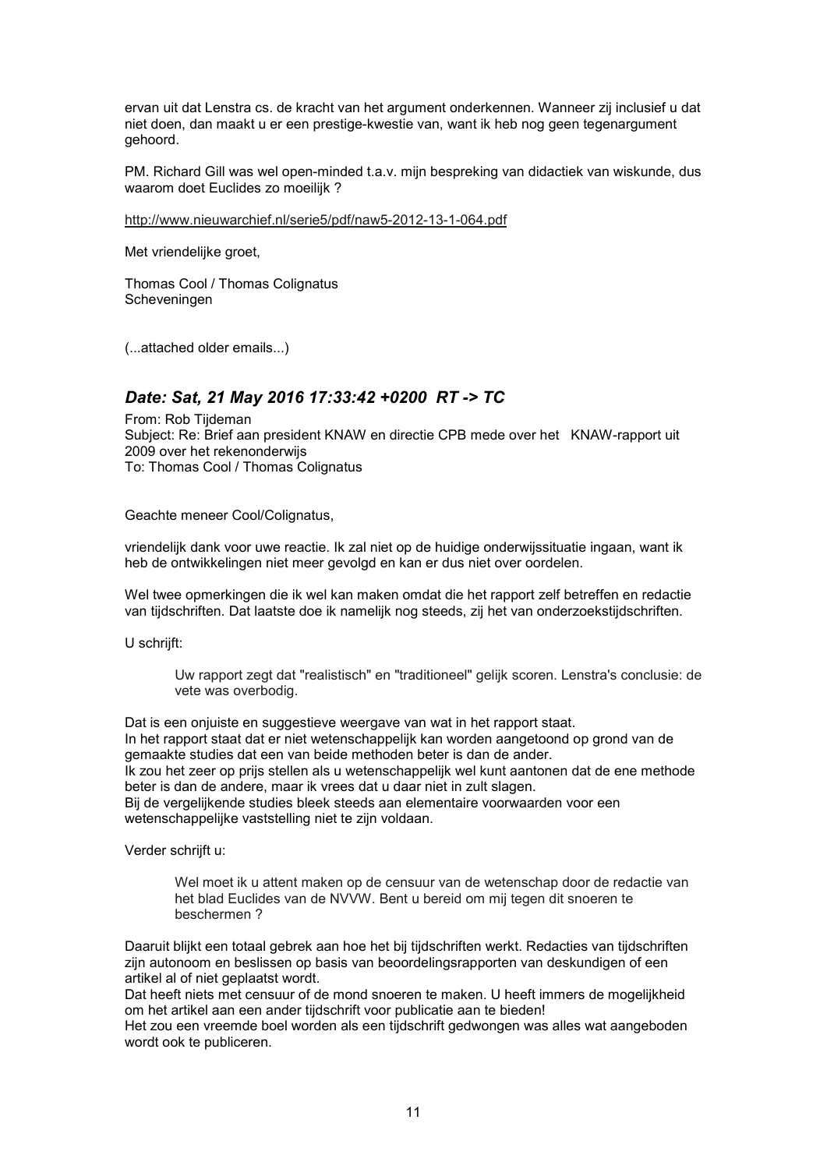ervan uit dat Lenstra cs. de kracht van het argument onderkennen. Wanneer zij inclusief u dat niet doen, dan maakt u er een prestige-kwestie van, want ik heb nog geen tegenargument gehoord.

PM. Richard Gill was wel open-minded t.a.v. mijn bespreking van didactiek van wiskunde, dus waarom doet Euclides zo moeilijk ?

http://www.nieuwarchief.nl/serie5/pdf/naw5-2012-13-1-064.pdf

Met vriendelijke groet,

Thomas Cool / Thomas Colignatus Scheveningen

(...attached older emails...)

# *Date: Sat, 21 May 2016 17:33:42 +0200 RT -> TC*

From: Rob Tijdeman Subject: Re: Brief aan president KNAW en directie CPB mede over het KNAW-rapport uit 2009 over het rekenonderwijs To: Thomas Cool / Thomas Colignatus

Geachte meneer Cool/Colignatus,

vriendelijk dank voor uwe reactie. Ik zal niet op de huidige onderwijssituatie ingaan, want ik heb de ontwikkelingen niet meer gevolgd en kan er dus niet over oordelen.

Wel twee opmerkingen die ik wel kan maken omdat die het rapport zelf betreffen en redactie van tijdschriften. Dat laatste doe ik namelijk nog steeds, zij het van onderzoekstijdschriften.

U schriift:

Uw rapport zegt dat "realistisch" en "traditioneel" gelijk scoren. Lenstra's conclusie: de vete was overbodig.

Dat is een onjuiste en suggestieve weergave van wat in het rapport staat. In het rapport staat dat er niet wetenschappelijk kan worden aangetoond op grond van de gemaakte studies dat een van beide methoden beter is dan de ander. Ik zou het zeer op prijs stellen als u wetenschappelijk wel kunt aantonen dat de ene methode beter is dan de andere, maar ik vrees dat u daar niet in zult slagen. Bij de vergelijkende studies bleek steeds aan elementaire voorwaarden voor een wetenschappelijke vaststelling niet te zijn voldaan.

Verder schrijft u:

Wel moet ik u attent maken op de censuur van de wetenschap door de redactie van het blad Euclides van de NVVW. Bent u bereid om mij tegen dit snoeren te beschermen ?

Daaruit blijkt een totaal gebrek aan hoe het bij tijdschriften werkt. Redacties van tijdschriften zijn autonoom en beslissen op basis van beoordelingsrapporten van deskundigen of een artikel al of niet geplaatst wordt.

Dat heeft niets met censuur of de mond snoeren te maken. U heeft immers de mogelijkheid om het artikel aan een ander tijdschrift voor publicatie aan te bieden!

Het zou een vreemde boel worden als een tijdschrift gedwongen was alles wat aangeboden wordt ook te publiceren.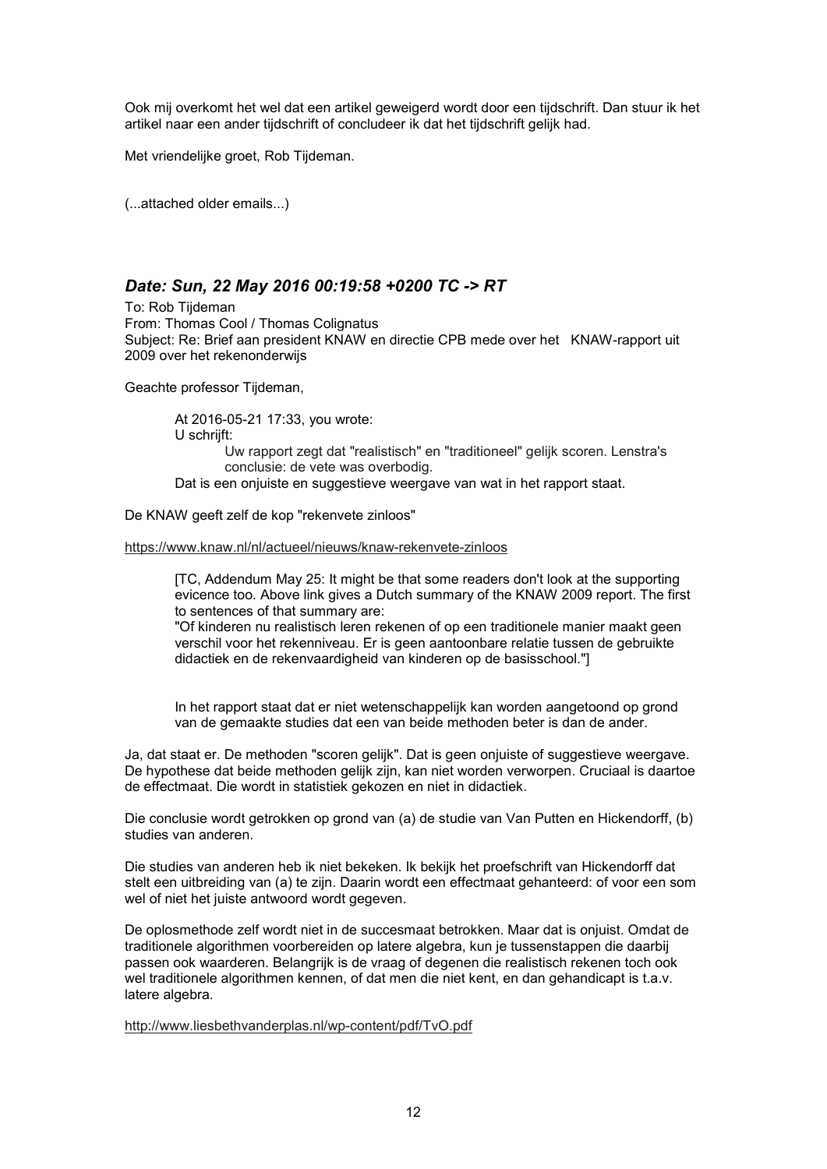Ook mij overkomt het wel dat een artikel geweigerd wordt door een tijdschrift. Dan stuur ik het artikel naar een ander tijdschrift of concludeer ik dat het tijdschrift gelijk had.

Met vriendelijke groet, Rob Tijdeman.

(...attached older emails...)

# *Date: Sun, 22 May 2016 00:19:58 +0200 TC -> RT*

To: Rob Tijdeman From: Thomas Cool / Thomas Colignatus Subject: Re: Brief aan president KNAW en directie CPB mede over het KNAW-rapport uit 2009 over het rekenonderwijs

Geachte professor Tijdeman,

At 2016-05-21 17:33, you wrote: U schriift: Uw rapport zegt dat "realistisch" en "traditioneel" gelijk scoren. Lenstra's conclusie: de vete was overbodig. Dat is een onjuiste en suggestieve weergave van wat in het rapport staat.

De KNAW geeft zelf de kop "rekenvete zinloos"

https://www.knaw.nl/nl/actueel/nieuws/knaw-rekenvete-zinloos

[TC, Addendum May 25: It might be that some readers don't look at the supporting evicence too. Above link gives a Dutch summary of the KNAW 2009 report. The first to sentences of that summary are:

"Of kinderen nu realistisch leren rekenen of op een traditionele manier maakt geen verschil voor het rekenniveau. Er is geen aantoonbare relatie tussen de gebruikte didactiek en de rekenvaardigheid van kinderen op de basisschool."]

In het rapport staat dat er niet wetenschappelijk kan worden aangetoond op grond van de gemaakte studies dat een van beide methoden beter is dan de ander.

Ja, dat staat er. De methoden "scoren gelijk". Dat is geen onjuiste of suggestieve weergave. De hypothese dat beide methoden gelijk zijn, kan niet worden verworpen. Cruciaal is daartoe de effectmaat. Die wordt in statistiek gekozen en niet in didactiek.

Die conclusie wordt getrokken op grond van (a) de studie van Van Putten en Hickendorff, (b) studies van anderen.

Die studies van anderen heb ik niet bekeken. Ik bekijk het proefschrift van Hickendorff dat stelt een uitbreiding van (a) te zijn. Daarin wordt een effectmaat gehanteerd: of voor een som wel of niet het juiste antwoord wordt gegeven.

De oplosmethode zelf wordt niet in de succesmaat betrokken. Maar dat is onjuist. Omdat de traditionele algorithmen voorbereiden op latere algebra, kun je tussenstappen die daarbij passen ook waarderen. Belangrijk is de vraag of degenen die realistisch rekenen toch ook wel traditionele algorithmen kennen, of dat men die niet kent, en dan gehandicapt is t.a.v. latere algebra.

http://www.liesbethvanderplas.nl/wp-content/pdf/TvO.pdf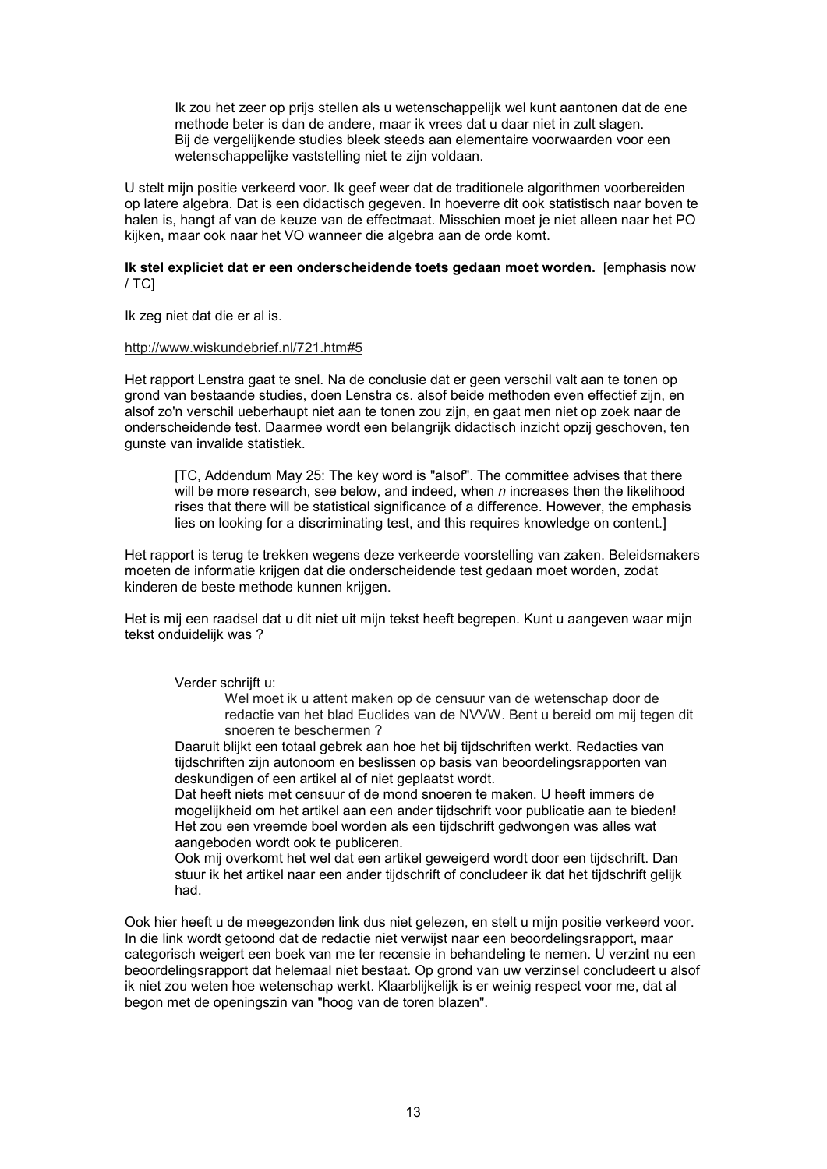Ik zou het zeer op prijs stellen als u wetenschappelijk wel kunt aantonen dat de ene methode beter is dan de andere, maar ik vrees dat u daar niet in zult slagen. Bij de vergelijkende studies bleek steeds aan elementaire voorwaarden voor een wetenschappelijke vaststelling niet te zijn voldaan.

U stelt mijn positie verkeerd voor. Ik geef weer dat de traditionele algorithmen voorbereiden op latere algebra. Dat is een didactisch gegeven. In hoeverre dit ook statistisch naar boven te halen is, hangt af van de keuze van de effectmaat. Misschien moet je niet alleen naar het PO kijken, maar ook naar het VO wanneer die algebra aan de orde komt.

#### **Ik stel expliciet dat er een onderscheidende toets gedaan moet worden.** [emphasis now  $/$  TCl

Ik zeg niet dat die er al is.

#### http://www.wiskundebrief.nl/721.htm#5

Het rapport Lenstra gaat te snel. Na de conclusie dat er geen verschil valt aan te tonen op grond van bestaande studies, doen Lenstra cs. alsof beide methoden even effectief zijn, en alsof zo'n verschil ueberhaupt niet aan te tonen zou zijn, en gaat men niet op zoek naar de onderscheidende test. Daarmee wordt een belangrijk didactisch inzicht opzij geschoven, ten gunste van invalide statistiek.

[TC, Addendum May 25: The key word is "alsof". The committee advises that there will be more research, see below, and indeed, when *n* increases then the likelihood rises that there will be statistical significance of a difference. However, the emphasis lies on looking for a discriminating test, and this requires knowledge on content.]

Het rapport is terug te trekken wegens deze verkeerde voorstelling van zaken. Beleidsmakers moeten de informatie krijgen dat die onderscheidende test gedaan moet worden, zodat kinderen de beste methode kunnen krijgen.

Het is mij een raadsel dat u dit niet uit mijn tekst heeft begrepen. Kunt u aangeven waar mijn tekst onduidelijk was ?

Verder schrijft u:

Wel moet ik u attent maken op de censuur van de wetenschap door de redactie van het blad Euclides van de NVVW. Bent u bereid om mij tegen dit snoeren te beschermen ?

Daaruit blijkt een totaal gebrek aan hoe het bij tijdschriften werkt. Redacties van tijdschriften zijn autonoom en beslissen op basis van beoordelingsrapporten van deskundigen of een artikel al of niet geplaatst wordt.

Dat heeft niets met censuur of de mond snoeren te maken. U heeft immers de mogelijkheid om het artikel aan een ander tijdschrift voor publicatie aan te bieden! Het zou een vreemde boel worden als een tijdschrift gedwongen was alles wat aangeboden wordt ook te publiceren.

Ook mij overkomt het wel dat een artikel geweigerd wordt door een tijdschrift. Dan stuur ik het artikel naar een ander tijdschrift of concludeer ik dat het tijdschrift gelijk had.

Ook hier heeft u de meegezonden link dus niet gelezen, en stelt u mijn positie verkeerd voor. In die link wordt getoond dat de redactie niet verwijst naar een beoordelingsrapport, maar categorisch weigert een boek van me ter recensie in behandeling te nemen. U verzint nu een beoordelingsrapport dat helemaal niet bestaat. Op grond van uw verzinsel concludeert u alsof ik niet zou weten hoe wetenschap werkt. Klaarblijkelijk is er weinig respect voor me, dat al begon met de openingszin van "hoog van de toren blazen".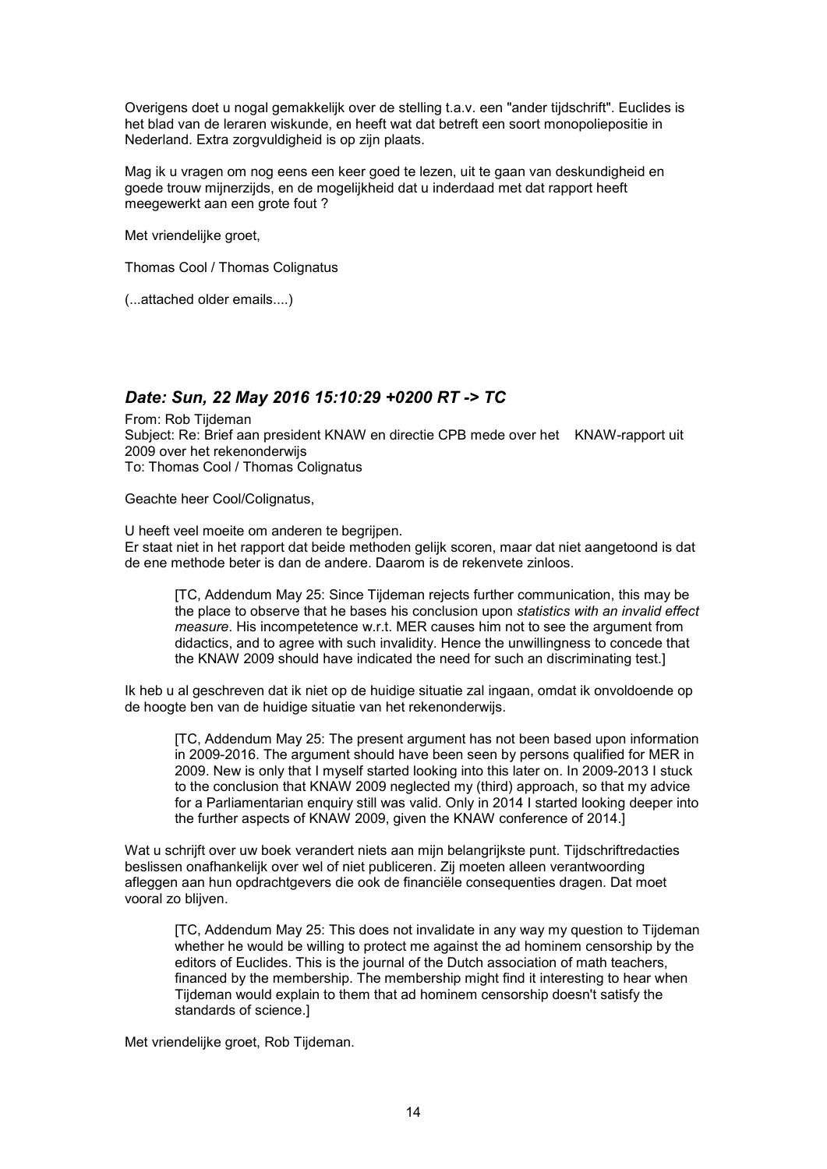Overigens doet u nogal gemakkelijk over de stelling t.a.v. een "ander tijdschrift". Euclides is het blad van de leraren wiskunde, en heeft wat dat betreft een soort monopoliepositie in Nederland. Extra zorgvuldigheid is op zijn plaats.

Mag ik u vragen om nog eens een keer goed te lezen, uit te gaan van deskundigheid en goede trouw mijnerzijds, en de mogelijkheid dat u inderdaad met dat rapport heeft meegewerkt aan een grote fout ?

Met vriendelijke groet,

Thomas Cool / Thomas Colignatus

(...attached older emails....)

### *Date: Sun, 22 May 2016 15:10:29 +0200 RT -> TC*

From: Rob Tijdeman Subject: Re: Brief aan president KNAW en directie CPB mede over het KNAW-rapport uit 2009 over het rekenonderwijs To: Thomas Cool / Thomas Colignatus

Geachte heer Cool/Colignatus,

U heeft veel moeite om anderen te begrijpen. Er staat niet in het rapport dat beide methoden gelijk scoren, maar dat niet aangetoond is dat de ene methode beter is dan de andere. Daarom is de rekenvete zinloos.

[TC, Addendum May 25: Since Tijdeman rejects further communication, this may be the place to observe that he bases his conclusion upon *statistics with an invalid effect measure*. His incompetetence w.r.t. MER causes him not to see the argument from didactics, and to agree with such invalidity. Hence the unwillingness to concede that the KNAW 2009 should have indicated the need for such an discriminating test.]

Ik heb u al geschreven dat ik niet op de huidige situatie zal ingaan, omdat ik onvoldoende op de hoogte ben van de huidige situatie van het rekenonderwijs.

[TC, Addendum May 25: The present argument has not been based upon information in 2009-2016. The argument should have been seen by persons qualified for MER in 2009. New is only that I myself started looking into this later on. In 2009-2013 I stuck to the conclusion that KNAW 2009 neglected my (third) approach, so that my advice for a Parliamentarian enquiry still was valid. Only in 2014 I started looking deeper into the further aspects of KNAW 2009, given the KNAW conference of 2014.]

Wat u schrijft over uw boek verandert niets aan mijn belangrijkste punt. Tijdschriftredacties beslissen onafhankelijk over wel of niet publiceren. Zij moeten alleen verantwoording afleggen aan hun opdrachtgevers die ook de financiële consequenties dragen. Dat moet vooral zo blijven.

[TC, Addendum May 25: This does not invalidate in any way my question to Tijdeman whether he would be willing to protect me against the ad hominem censorship by the editors of Euclides. This is the journal of the Dutch association of math teachers, financed by the membership. The membership might find it interesting to hear when Tijdeman would explain to them that ad hominem censorship doesn't satisfy the standards of science.]

Met vriendelijke groet, Rob Tijdeman.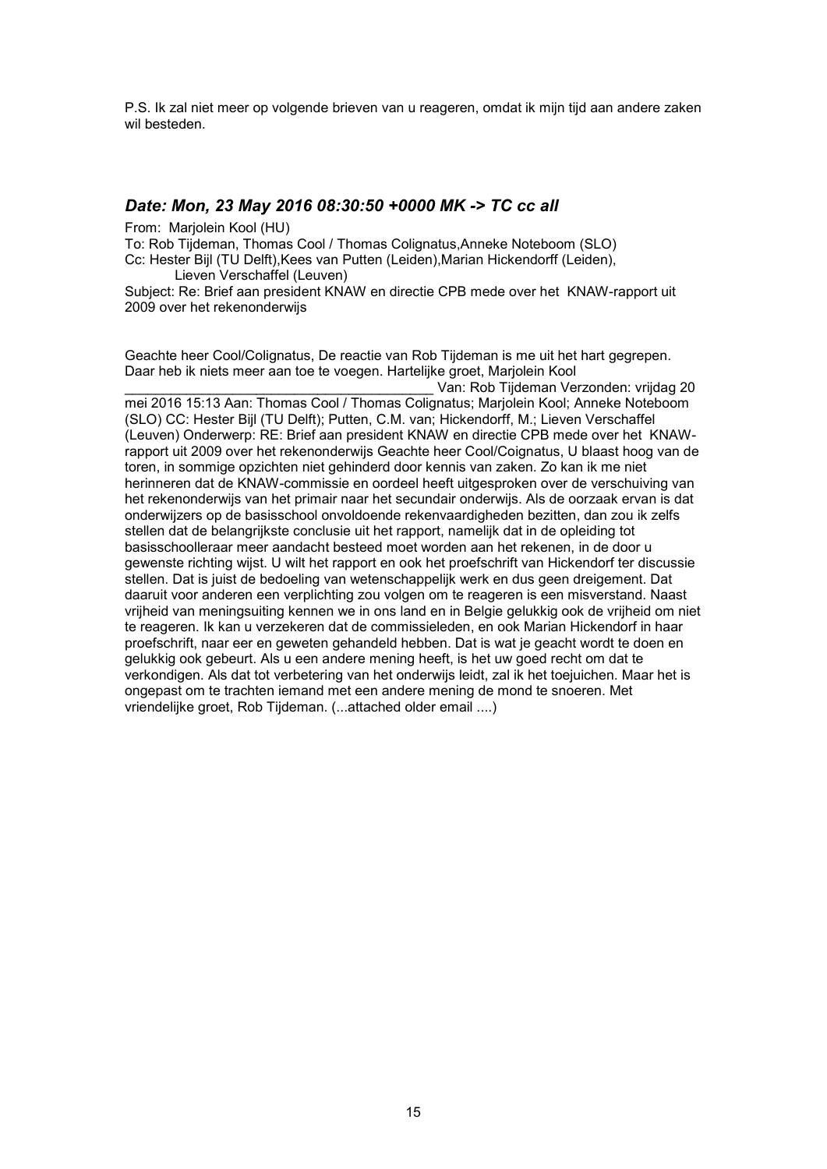P.S. Ik zal niet meer op volgende brieven van u reageren, omdat ik mijn tijd aan andere zaken wil besteden.

## *Date: Mon, 23 May 2016 08:30:50 +0000 MK -> TC cc all*

From: Marjolein Kool (HU)

To: Rob Tijdeman, Thomas Cool / Thomas Colignatus,Anneke Noteboom (SLO) Cc: Hester Bijl (TU Delft),Kees van Putten (Leiden),Marian Hickendorff (Leiden), Lieven Verschaffel (Leuven)

Subject: Re: Brief aan president KNAW en directie CPB mede over het KNAW-rapport uit 2009 over het rekenonderwijs

Geachte heer Cool/Colignatus, De reactie van Rob Tijdeman is me uit het hart gegrepen. Daar heb ik niets meer aan toe te voegen. Hartelijke groet, Marjolein Kool

Van: Rob Tijdeman Verzonden: vrijdag 20 mei 2016 15:13 Aan: Thomas Cool / Thomas Colignatus; Marjolein Kool; Anneke Noteboom (SLO) CC: Hester Bijl (TU Delft); Putten, C.M. van; Hickendorff, M.; Lieven Verschaffel (Leuven) Onderwerp: RE: Brief aan president KNAW en directie CPB mede over het KNAWrapport uit 2009 over het rekenonderwijs Geachte heer Cool/Coignatus, U blaast hoog van de toren, in sommige opzichten niet gehinderd door kennis van zaken. Zo kan ik me niet herinneren dat de KNAW-commissie en oordeel heeft uitgesproken over de verschuiving van het rekenonderwijs van het primair naar het secundair onderwijs. Als de oorzaak ervan is dat onderwijzers op de basisschool onvoldoende rekenvaardigheden bezitten, dan zou ik zelfs stellen dat de belangrijkste conclusie uit het rapport, namelijk dat in de opleiding tot basisschoolleraar meer aandacht besteed moet worden aan het rekenen, in de door u gewenste richting wijst. U wilt het rapport en ook het proefschrift van Hickendorf ter discussie stellen. Dat is juist de bedoeling van wetenschappelijk werk en dus geen dreigement. Dat daaruit voor anderen een verplichting zou volgen om te reageren is een misverstand. Naast vrijheid van meningsuiting kennen we in ons land en in Belgie gelukkig ook de vrijheid om niet te reageren. Ik kan u verzekeren dat de commissieleden, en ook Marian Hickendorf in haar proefschrift, naar eer en geweten gehandeld hebben. Dat is wat je geacht wordt te doen en gelukkig ook gebeurt. Als u een andere mening heeft, is het uw goed recht om dat te verkondigen. Als dat tot verbetering van het onderwijs leidt, zal ik het toejuichen. Maar het is ongepast om te trachten iemand met een andere mening de mond te snoeren. Met vriendelijke groet, Rob Tijdeman. (...attached older email ....)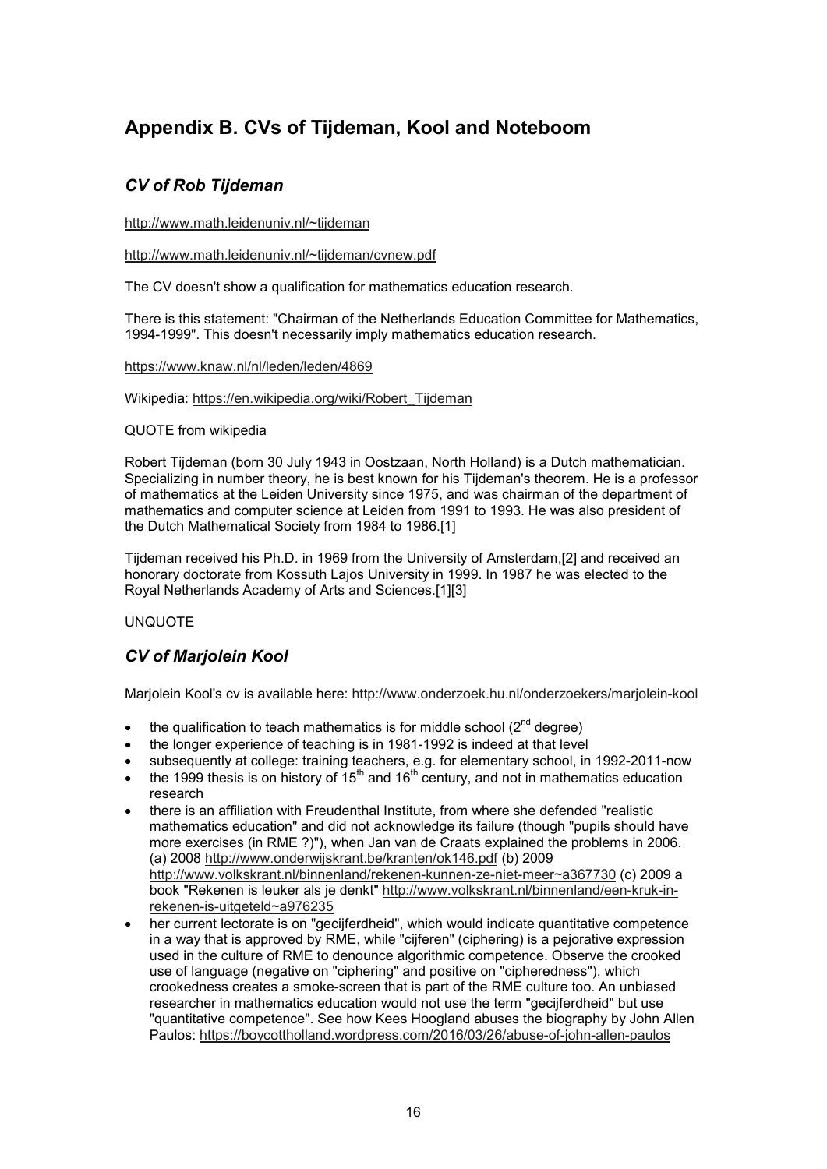# **Appendix B. CVs of Tijdeman, Kool and Noteboom**

# *CV of Rob Tijdeman*

http://www.math.leidenuniv.nl/~tijdeman

http://www.math.leidenuniv.nl/~tijdeman/cvnew.pdf

The CV doesn't show a qualification for mathematics education research.

There is this statement: "Chairman of the Netherlands Education Committee for Mathematics, 1994-1999". This doesn't necessarily imply mathematics education research.

#### https://www.knaw.nl/nl/leden/leden/4869

Wikipedia: https://en.wikipedia.org/wiki/Robert\_Tijdeman

### QUOTE from wikipedia

Robert Tijdeman (born 30 July 1943 in Oostzaan, North Holland) is a Dutch mathematician. Specializing in number theory, he is best known for his Tijdeman's theorem. He is a professor of mathematics at the Leiden University since 1975, and was chairman of the department of mathematics and computer science at Leiden from 1991 to 1993. He was also president of the Dutch Mathematical Society from 1984 to 1986.[1]

Tijdeman received his Ph.D. in 1969 from the University of Amsterdam,[2] and received an honorary doctorate from Kossuth Lajos University in 1999. In 1987 he was elected to the Royal Netherlands Academy of Arts and Sciences.[1][3]

### UNQUOTE

# *CV of Marjolein Kool*

Marjolein Kool's cv is available here: http://www.onderzoek.hu.nl/onderzoekers/marjolein-kool

- the qualification to teach mathematics is for middle school  $(2^{nd}$  degree)
- the longer experience of teaching is in 1981-1992 is indeed at that level
- subsequently at college: training teachers, e.g. for elementary school, in 1992-2011-now
- the 1999 thesis is on history of  $15<sup>th</sup>$  and  $16<sup>th</sup>$  century, and not in mathematics education research
- there is an affiliation with Freudenthal Institute, from where she defended "realistic mathematics education" and did not acknowledge its failure (though "pupils should have more exercises (in RME ?)"), when Jan van de Craats explained the problems in 2006. (a) 2008 http://www.onderwijskrant.be/kranten/ok146.pdf (b) 2009 http://www.volkskrant.nl/binnenland/rekenen-kunnen-ze-niet-meer~a367730 (c) 2009 a book "Rekenen is leuker als je denkt" http://www.volkskrant.nl/binnenland/een-kruk-inrekenen-is-uitgeteld~a976235
- her current lectorate is on "gecijferdheid", which would indicate quantitative competence in a way that is approved by RME, while "cijferen" (ciphering) is a pejorative expression used in the culture of RME to denounce algorithmic competence. Observe the crooked use of language (negative on "ciphering" and positive on "cipheredness"), which crookedness creates a smoke-screen that is part of the RME culture too. An unbiased researcher in mathematics education would not use the term "gecijferdheid" but use "quantitative competence". See how Kees Hoogland abuses the biography by John Allen Paulos: https://boycottholland.wordpress.com/2016/03/26/abuse-of-john-allen-paulos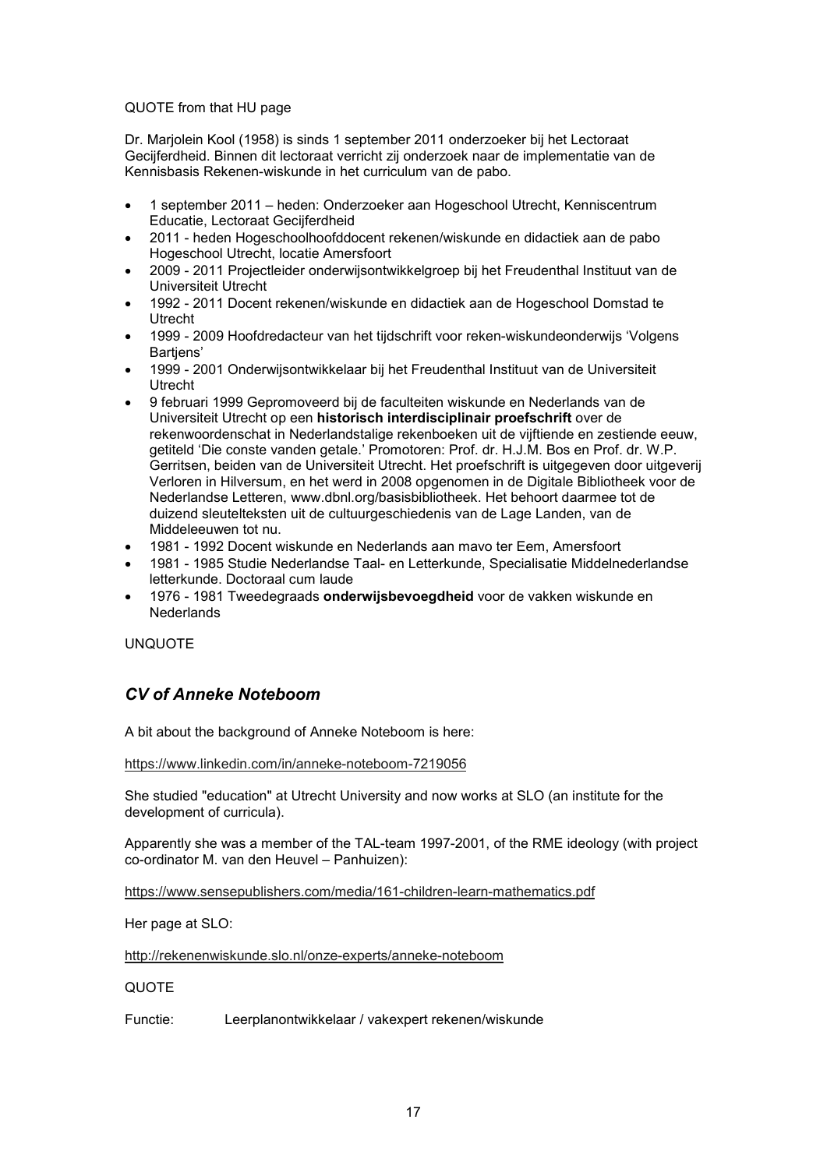#### QUOTE from that HU page

Dr. Marjolein Kool (1958) is sinds 1 september 2011 onderzoeker bij het Lectoraat Gecijferdheid. Binnen dit lectoraat verricht zij onderzoek naar de implementatie van de Kennisbasis Rekenen-wiskunde in het curriculum van de pabo.

- 1 september 2011 heden: Onderzoeker aan Hogeschool Utrecht, Kenniscentrum Educatie, Lectoraat Gecijferdheid
- 2011 heden Hogeschoolhoofddocent rekenen/wiskunde en didactiek aan de pabo Hogeschool Utrecht, locatie Amersfoort
- 2009 2011 Projectleider onderwijsontwikkelgroep bij het Freudenthal Instituut van de Universiteit Utrecht
- 1992 2011 Docent rekenen/wiskunde en didactiek aan de Hogeschool Domstad te Utrecht
- 1999 2009 Hoofdredacteur van het tijdschrift voor reken-wiskundeonderwijs 'Volgens Bartjens'
- 1999 2001 Onderwijsontwikkelaar bij het Freudenthal Instituut van de Universiteit Utrecht
- 9 februari 1999 Gepromoveerd bij de faculteiten wiskunde en Nederlands van de Universiteit Utrecht op een **historisch interdisciplinair proefschrift** over de rekenwoordenschat in Nederlandstalige rekenboeken uit de vijftiende en zestiende eeuw, getiteld 'Die conste vanden getale.' Promotoren: Prof. dr. H.J.M. Bos en Prof. dr. W.P. Gerritsen, beiden van de Universiteit Utrecht. Het proefschrift is uitgegeven door uitgeverij Verloren in Hilversum, en het werd in 2008 opgenomen in de Digitale Bibliotheek voor de Nederlandse Letteren, www.dbnl.org/basisbibliotheek. Het behoort daarmee tot de duizend sleutelteksten uit de cultuurgeschiedenis van de Lage Landen, van de Middeleeuwen tot nu.
- 1981 1992 Docent wiskunde en Nederlands aan mavo ter Eem, Amersfoort
- 1981 1985 Studie Nederlandse Taal- en Letterkunde, Specialisatie Middelnederlandse letterkunde. Doctoraal cum laude
- 1976 1981 Tweedegraads **onderwijsbevoegdheid** voor de vakken wiskunde en **Nederlands**

UNQUOTE

# *CV of Anneke Noteboom*

A bit about the background of Anneke Noteboom is here:

https://www.linkedin.com/in/anneke-noteboom-7219056

She studied "education" at Utrecht University and now works at SLO (an institute for the development of curricula).

Apparently she was a member of the TAL-team 1997-2001, of the RME ideology (with project co-ordinator M. van den Heuvel – Panhuizen):

https://www.sensepublishers.com/media/161-children-learn-mathematics.pdf

Her page at SLO:

http://rekenenwiskunde.slo.nl/onze-experts/anneke-noteboom

### **QUOTE**

Functie: Leerplanontwikkelaar / vakexpert rekenen/wiskunde